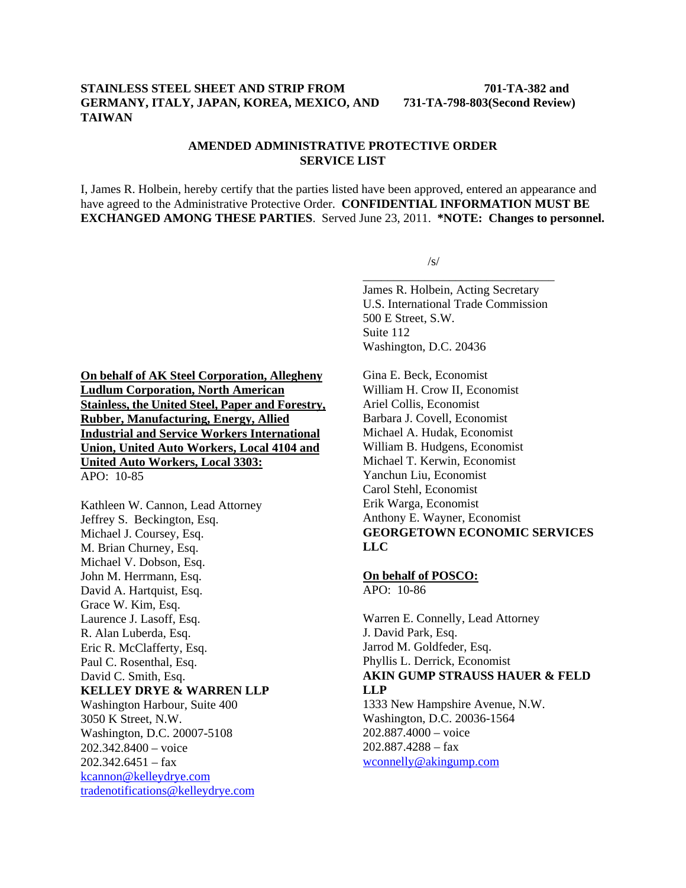## **STAINLESS STEEL SHEET AND STRIP FROM 701-TA-382 and GERMANY, ITALY, JAPAN, KOREA, MEXICO, AND 731-TA-798-803(Second Review) TAIWAN**

## **AMENDED ADMINISTRATIVE PROTECTIVE ORDER SERVICE LIST**

I, James R. Holbein, hereby certify that the parties listed have been approved, entered an appearance and have agreed to the Administrative Protective Order. **CONFIDENTIAL INFORMATION MUST BE EXCHANGED AMONG THESE PARTIES**. Served June 23, 2011. **\*NOTE: Changes to personnel.** 

 $\sqrt{s}$ /s/  $\overline{\phantom{a}}$  , and the contract of the contract of the contract of the contract of the contract of the contract of the contract of the contract of the contract of the contract of the contract of the contract of the contrac

> James R. Holbein, Acting Secretary U.S. International Trade Commission 500 E Street, S.W. Suite 112 Washington, D.C. 20436

**On behalf of AK Steel Corporation, Allegheny Ludlum Corporation, North American Stainless, the United Steel, Paper and Forestry, Rubber, Manufacturing, Energy, Allied Industrial and Service Workers International Union, United Auto Workers, Local 4104 and United Auto Workers, Local 3303:** APO: 10-85

Kathleen W. Cannon, Lead Attorney Jeffrey S. Beckington, Esq. Michael J. Coursey, Esq. M. Brian Churney, Esq. Michael V. Dobson, Esq. John M. Herrmann, Esq. David A. Hartquist, Esq. Grace W. Kim, Esq. Laurence J. Lasoff, Esq. R. Alan Luberda, Esq. Eric R. McClafferty, Esq. Paul C. Rosenthal, Esq. David C. Smith, Esq. **KELLEY DRYE & WARREN LLP** Washington Harbour, Suite 400 3050 K Street, N.W. Washington, D.C. 20007-5108 202.342.8400 – voice  $202.342.6451 - fax$ kcannon@kelleydrye.com tradenotifications@kelleydrye.com

Gina E. Beck, Economist William H. Crow II, Economist Ariel Collis, Economist Barbara J. Covell, Economist Michael A. Hudak, Economist William B. Hudgens, Economist Michael T. Kerwin, Economist Yanchun Liu, Economist Carol Stehl, Economist Erik Warga, Economist Anthony E. Wayner, Economist **GEORGETOWN ECONOMIC SERVICES LLC** 

## **On behalf of POSCO:**

 $APO: 10-86$ 

Warren E. Connelly, Lead Attorney J. David Park, Esq. Jarrod M. Goldfeder, Esq. Phyllis L. Derrick, Economist **AKIN GUMP STRAUSS HAUER & FELD LLP** 1333 New Hampshire Avenue, N.W.

Washington, D.C. 20036-1564 202.887.4000 – voice 202.887.4288 – fax wconnelly@akingump.com